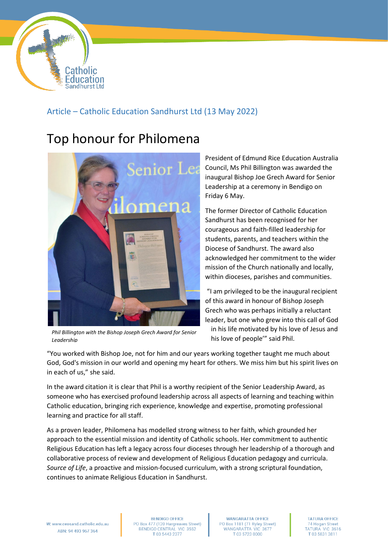

## Article – Catholic Education Sandhurst Ltd (13 May 2022)

## Top honour for Philomena



*Phil Billington with the Bishop Joseph Grech Award for Senior Leadership*

President of Edmund Rice Education Australia Council, Ms Phil Billington was awarded the inaugural Bishop Joe Grech Award for Senior Leadership at a ceremony in Bendigo on Friday 6 May.

The former Director of Catholic Education Sandhurst has been recognised for her courageous and faith-filled leadership for students, parents, and teachers within the Diocese of Sandhurst. The award also acknowledged her commitment to the wider mission of the Church nationally and locally, within dioceses, parishes and communities.

"I am privileged to be the inaugural recipient of this award in honour of Bishop Joseph Grech who was perhaps initially a reluctant leader, but one who grew into this call of God in his life motivated by his love of Jesus and his love of people'" said Phil.

"You worked with Bishop Joe, not for him and our years working together taught me much about God, God's mission in our world and opening my heart for others. We miss him but his spirit lives on in each of us," she said.

In the award citation it is clear that Phil is a worthy recipient of the Senior Leadership Award, as someone who has exercised profound leadership across all aspects of learning and teaching within Catholic education, bringing rich experience, knowledge and expertise, promoting professional learning and practice for all staff.

As a proven leader, Philomena has modelled strong witness to her faith, which grounded her approach to the essential mission and identity of Catholic schools. Her commitment to authentic Religious Education has left a legacy across four dioceses through her leadership of a thorough and collaborative process of review and development of Religious Education pedagogy and curricula. *Source of Life*, a proactive and mission-focused curriculum, with a strong scriptural foundation, continues to animate Religious Education in Sandhurst.

**BENDIGO OFFICE** PO Box 477 (120 Hargreaves Street)<br>BENDIGO CENTRAL VIC 3552 T0354432377

**WANGARATTA OFFICE** PO Box 1181 (71 Ryley Street) WANGARATTA VIC 3677 T 03 5723 0000